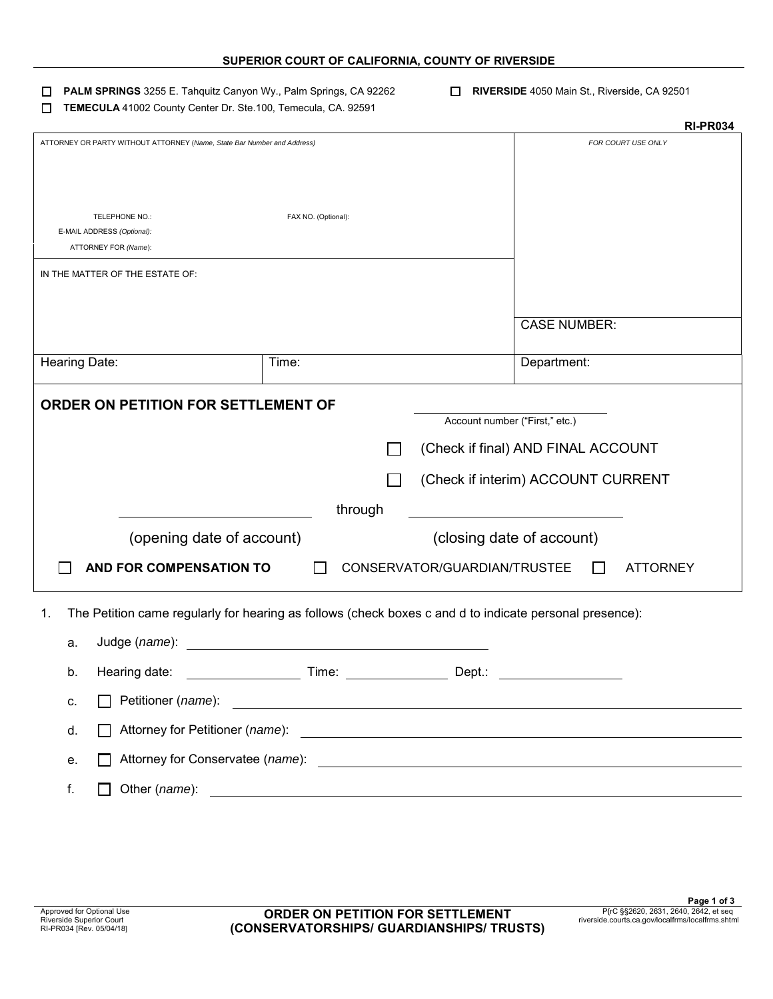| SUPERIOR COURT OF CALIFORNIA, COUNTY OF RIVERSIDE |  |
|---------------------------------------------------|--|
|---------------------------------------------------|--|

- **PALM SPRINGS** 3255 E. Tahquitz Canyon Wy., Palm Springs, CA 92262 **RIVERSIDE** 4050 Main St., Riverside, CA 92501
- **TEMECULA** 41002 County Center Dr. Ste.100, Temecula, CA. 92591

|                                                                                                               |                                                                                                                       |                                |                                    | <b>RI-PR034</b>    |
|---------------------------------------------------------------------------------------------------------------|-----------------------------------------------------------------------------------------------------------------------|--------------------------------|------------------------------------|--------------------|
| ATTORNEY OR PARTY WITHOUT ATTORNEY (Name, State Bar Number and Address)                                       |                                                                                                                       |                                |                                    | FOR COURT USE ONLY |
|                                                                                                               |                                                                                                                       |                                |                                    |                    |
|                                                                                                               |                                                                                                                       |                                |                                    |                    |
| TELEPHONE NO.:                                                                                                | FAX NO. (Optional):                                                                                                   |                                |                                    |                    |
| E-MAIL ADDRESS (Optional):                                                                                    |                                                                                                                       |                                |                                    |                    |
| ATTORNEY FOR (Name):                                                                                          |                                                                                                                       |                                |                                    |                    |
| IN THE MATTER OF THE ESTATE OF:                                                                               |                                                                                                                       |                                |                                    |                    |
|                                                                                                               |                                                                                                                       |                                |                                    |                    |
|                                                                                                               |                                                                                                                       |                                | <b>CASE NUMBER:</b>                |                    |
|                                                                                                               |                                                                                                                       |                                |                                    |                    |
| Hearing Date:                                                                                                 | Time:                                                                                                                 |                                | Department:                        |                    |
| ORDER ON PETITION FOR SETTLEMENT OF                                                                           |                                                                                                                       |                                |                                    |                    |
|                                                                                                               |                                                                                                                       | Account number ("First," etc.) |                                    |                    |
|                                                                                                               |                                                                                                                       |                                | (Check if final) AND FINAL ACCOUNT |                    |
|                                                                                                               |                                                                                                                       |                                |                                    |                    |
|                                                                                                               |                                                                                                                       |                                | (Check if interim) ACCOUNT CURRENT |                    |
|                                                                                                               | through                                                                                                               |                                |                                    |                    |
| (opening date of account)                                                                                     |                                                                                                                       |                                | (closing date of account)          |                    |
| AND FOR COMPENSATION TO                                                                                       |                                                                                                                       | CONSERVATOR/GUARDIAN/TRUSTEE   |                                    | <b>ATTORNEY</b>    |
|                                                                                                               |                                                                                                                       |                                |                                    |                    |
| The Petition came regularly for hearing as follows (check boxes c and d to indicate personal presence):<br>1. |                                                                                                                       |                                |                                    |                    |
| Judge (name):<br>а.                                                                                           | <u> 1980 - Jan Barbara Barat, martin da basar da basar da basar da basar da basar da basar da basar da basar da b</u> |                                |                                    |                    |
| Hearing date:<br>b.                                                                                           | Time:                                                                                                                 | Dept.:                         |                                    |                    |
|                                                                                                               |                                                                                                                       |                                |                                    |                    |
| Petitioner (name):<br>c.                                                                                      | <u> 1989 - Johann Barbara, martin amerikan basal dan berasal dan berasal dalam basal dalam basal dalam basal dala</u> |                                |                                    |                    |
| Attorney for Petitioner (name):<br>d.                                                                         | <u> 1980 - Andrea State Barbara, amerikan personal (h. 1980).</u>                                                     |                                |                                    |                    |
| е.                                                                                                            |                                                                                                                       |                                |                                    |                    |
| f.<br>Other (name):                                                                                           |                                                                                                                       |                                |                                    |                    |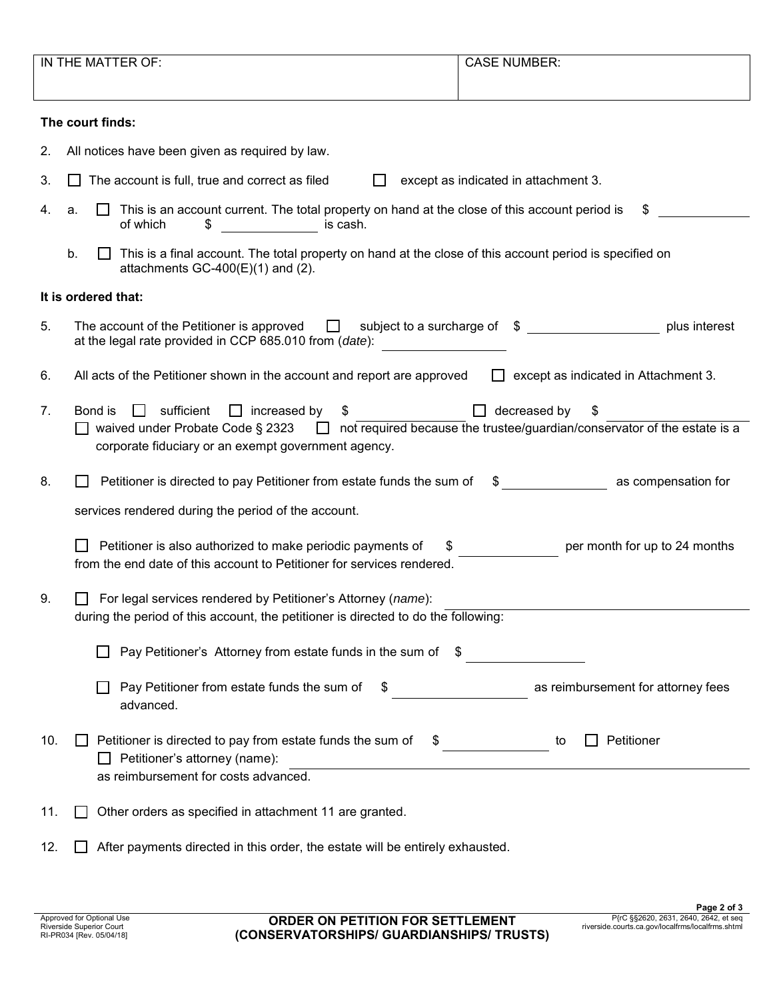|     | IN THE MATTER OF:                                                                                                                                                                                                                               | <b>CASE NUMBER:</b>                         |
|-----|-------------------------------------------------------------------------------------------------------------------------------------------------------------------------------------------------------------------------------------------------|---------------------------------------------|
|     | The court finds:                                                                                                                                                                                                                                |                                             |
| 2.  | All notices have been given as required by law.                                                                                                                                                                                                 |                                             |
| 3.  | The account is full, true and correct as filed                                                                                                                                                                                                  | except as indicated in attachment 3.        |
| 4.  | This is an account current. The total property on hand at the close of this account period is<br>a.<br>$\overline{\phantom{a}}$ is cash.<br>of which<br>\$                                                                                      | \$                                          |
|     | b.<br>This is a final account. The total property on hand at the close of this account period is specified on<br>attachments $GC-400(E)(1)$ and (2).                                                                                            |                                             |
|     | It is ordered that:                                                                                                                                                                                                                             |                                             |
| 5.  | The account of the Petitioner is approved $\Box$ subject to a surcharge of $\Diamond$<br>at the legal rate provided in CCP 685.010 from (date):                                                                                                 | plus interest                               |
| 6.  | All acts of the Petitioner shown in the account and report are approved                                                                                                                                                                         | $\Box$ except as indicated in Attachment 3. |
| 7.  | Bond is<br>sufficient<br>$\Box$ increased by<br>$\perp$<br>\$<br>$\Box$ waived under Probate Code § 2323 $\Box$ not required because the trustee/guardian/conservator of the estate is a<br>corporate fiduciary or an exempt government agency. | decreased by<br>\$                          |
| 8.  | Petitioner is directed to pay Petitioner from estate funds the sum of                                                                                                                                                                           |                                             |
|     | services rendered during the period of the account.                                                                                                                                                                                             |                                             |
|     | Petitioner is also authorized to make periodic payments of<br>\$.<br>from the end date of this account to Petitioner for services rendered.                                                                                                     | per month for up to 24 months               |
| 9.  | For legal services rendered by Petitioner's Attorney (name):<br>during the period of this account, the petitioner is directed to do the following:                                                                                              |                                             |
|     | Pay Petitioner's Attorney from estate funds in the sum of \$                                                                                                                                                                                    |                                             |
|     | Pay Petitioner from estate funds the sum of<br>advanced.                                                                                                                                                                                        | as reimbursement for attorney fees          |
| 10. | Petitioner is directed to pay from estate funds the sum of<br>Petitioner's attorney (name):<br>as reimbursement for costs advanced.                                                                                                             | Petitioner<br>$\int$<br>to                  |
| 11. | Other orders as specified in attachment 11 are granted.                                                                                                                                                                                         |                                             |
| 12. | After payments directed in this order, the estate will be entirely exhausted.                                                                                                                                                                   |                                             |